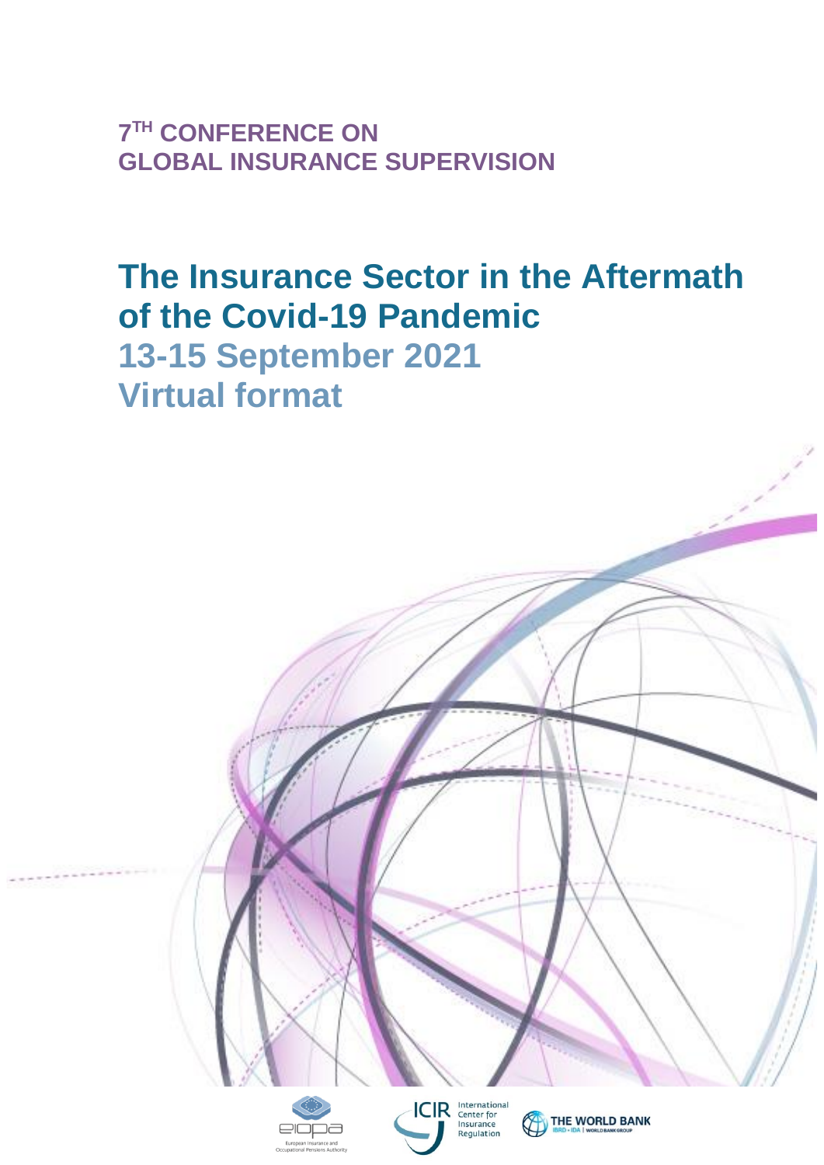**7 TH CONFERENCE ON GLOBAL INSURANCE SUPERVISION** 

# **The Insurance Sector in the Aftermath of the Covid-19 Pandemic 13-15 September 2021 Virtual format**

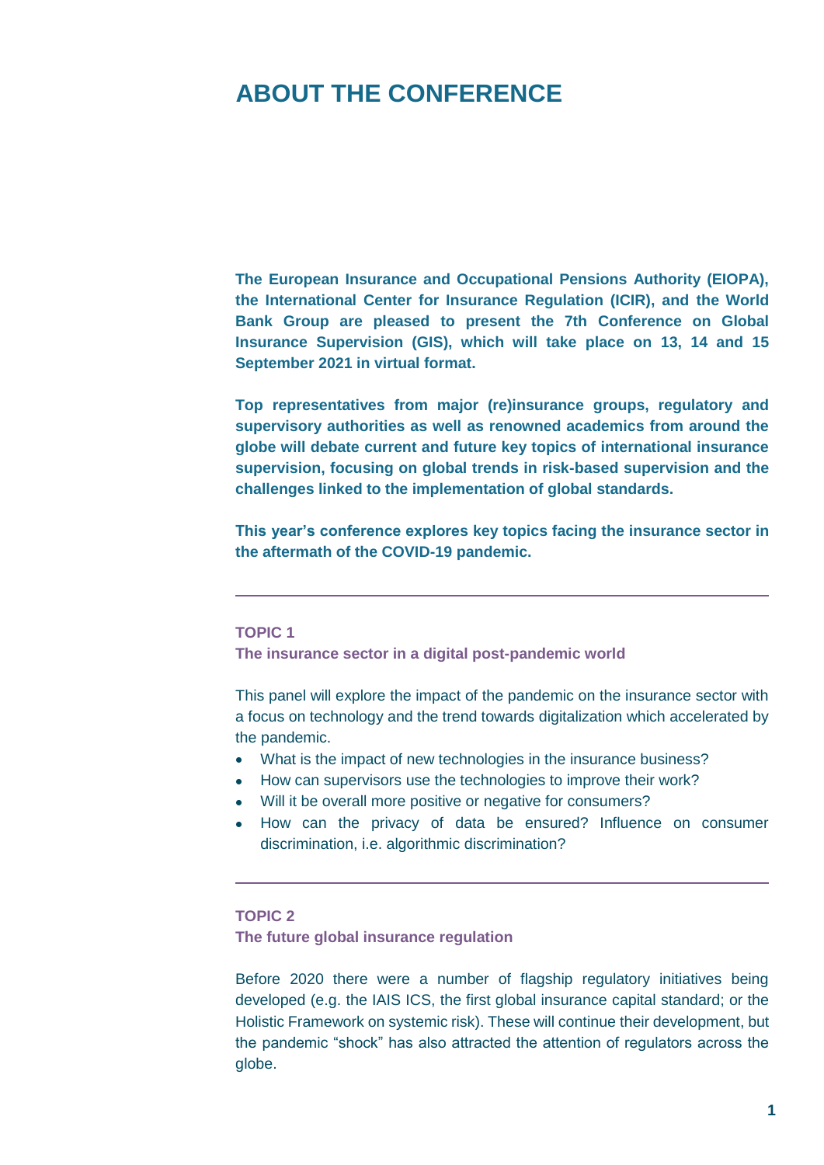## **ABOUT THE CONFERENCE**

**The European Insurance and Occupational Pensions Authority (EIOPA), the International Center for Insurance Regulation (ICIR), and the World Bank Group are pleased to present the 7th Conference on Global Insurance Supervision (GIS), which will take place on 13, 14 and 15 September 2021 in virtual format.**

**Top representatives from major (re)insurance groups, regulatory and supervisory authorities as well as renowned academics from around the globe will debate current and future key topics of international insurance supervision, focusing on global trends in risk-based supervision and the challenges linked to the implementation of global standards.**

**This year's conference explores key topics facing the insurance sector in the aftermath of the COVID-19 pandemic.**

#### **TOPIC 1**

**The insurance sector in a digital post-pandemic world** 

This panel will explore the impact of the pandemic on the insurance sector with a focus on technology and the trend towards digitalization which accelerated by the pandemic.

- What is the impact of new technologies in the insurance business?
- How can supervisors use the technologies to improve their work?
- Will it be overall more positive or negative for consumers?
- How can the privacy of data be ensured? Influence on consumer discrimination, i.e. algorithmic discrimination?

#### **TOPIC 2**

**The future global insurance regulation** 

Before 2020 there were a number of flagship regulatory initiatives being developed (e.g. the IAIS ICS, the first global insurance capital standard; or the Holistic Framework on systemic risk). These will continue their development, but the pandemic "shock" has also attracted the attention of regulators across the globe.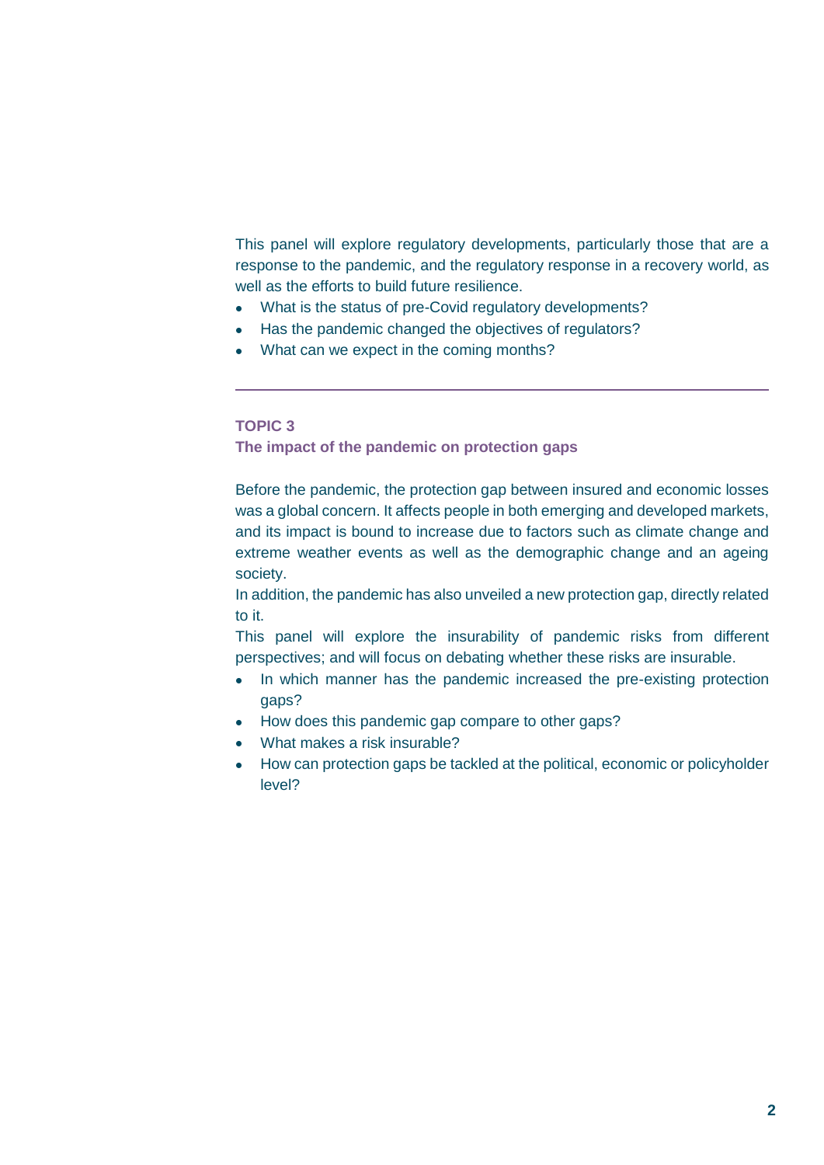This panel will explore regulatory developments, particularly those that are a response to the pandemic, and the regulatory response in a recovery world, as well as the efforts to build future resilience.

- What is the status of pre-Covid regulatory developments?
- Has the pandemic changed the objectives of regulators?
- What can we expect in the coming months?

#### **TOPIC 3**

**The impact of the pandemic on protection gaps** 

Before the pandemic, the protection gap between insured and economic losses was a global concern. It affects people in both emerging and developed markets, and its impact is bound to increase due to factors such as climate change and extreme weather events as well as the demographic change and an ageing society.

In addition, the pandemic has also unveiled a new protection gap, directly related to it.

This panel will explore the insurability of pandemic risks from different perspectives; and will focus on debating whether these risks are insurable.

- In which manner has the pandemic increased the pre-existing protection gaps?
- How does this pandemic gap compare to other gaps?
- What makes a risk insurable?
- How can protection gaps be tackled at the political, economic or policyholder level?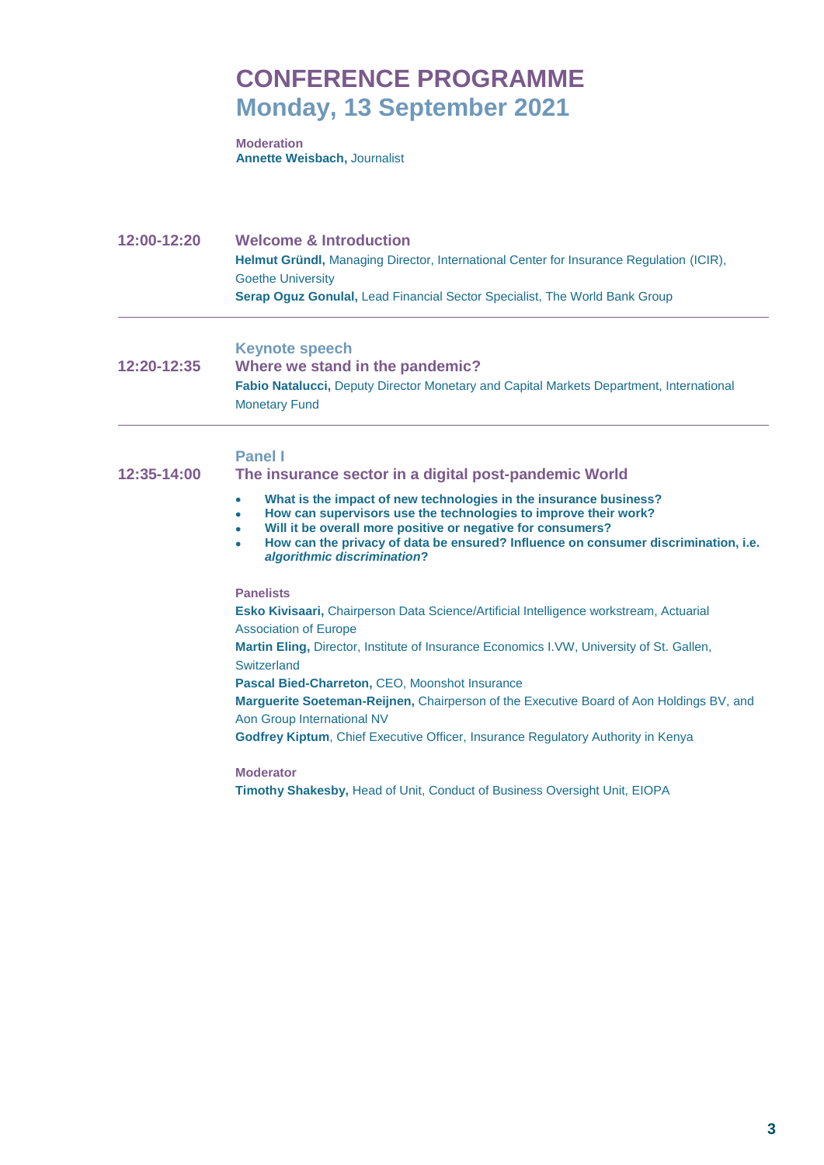## **CONFERENCE PROGRAMME Monday, 13 September 2021**

**Moderation Annette Weisbach,** Journalist

**12:00-12:20 Welcome & Introduction Helmut Gründl,** Managing Director, International Center for Insurance Regulation (ICIR), Goethe University **Serap Oguz Gonulal,** Lead Financial Sector Specialist, The World Bank Group

**Keynote speech**

**12:20-12:35 Where we stand in the pandemic? Fabio Natalucci,** Deputy Director Monetary and Capital Markets Department, International Monetary Fund

#### **Panel I**

**12:35-14:00 The insurance sector in a digital post-pandemic World**

- **What is the impact of new technologies in the insurance business?**
- **How can supervisors use the technologies to improve their work?**
- **Will it be overall more positive or negative for consumers?**
- **How can the privacy of data be ensured? Influence on consumer discrimination, i.e.**  *algorithmic discrimination***?**

**Panelists**

**Esko Kivisaari,** Chairperson Data Science/Artificial Intelligence workstream, Actuarial Association of Europe

**Martin Eling,** Director, Institute of Insurance Economics I.VW, University of St. Gallen, **Switzerland** 

**Pascal Bied-Charreton,** CEO, Moonshot Insurance

**Marguerite Soeteman-Reijnen,** Chairperson of the Executive Board of Aon Holdings BV, and Aon Group International NV

**Godfrey Kiptum**, Chief Executive Officer, Insurance Regulatory Authority in Kenya

**Moderator**

**Timothy Shakesby,** Head of Unit, Conduct of Business Oversight Unit, EIOPA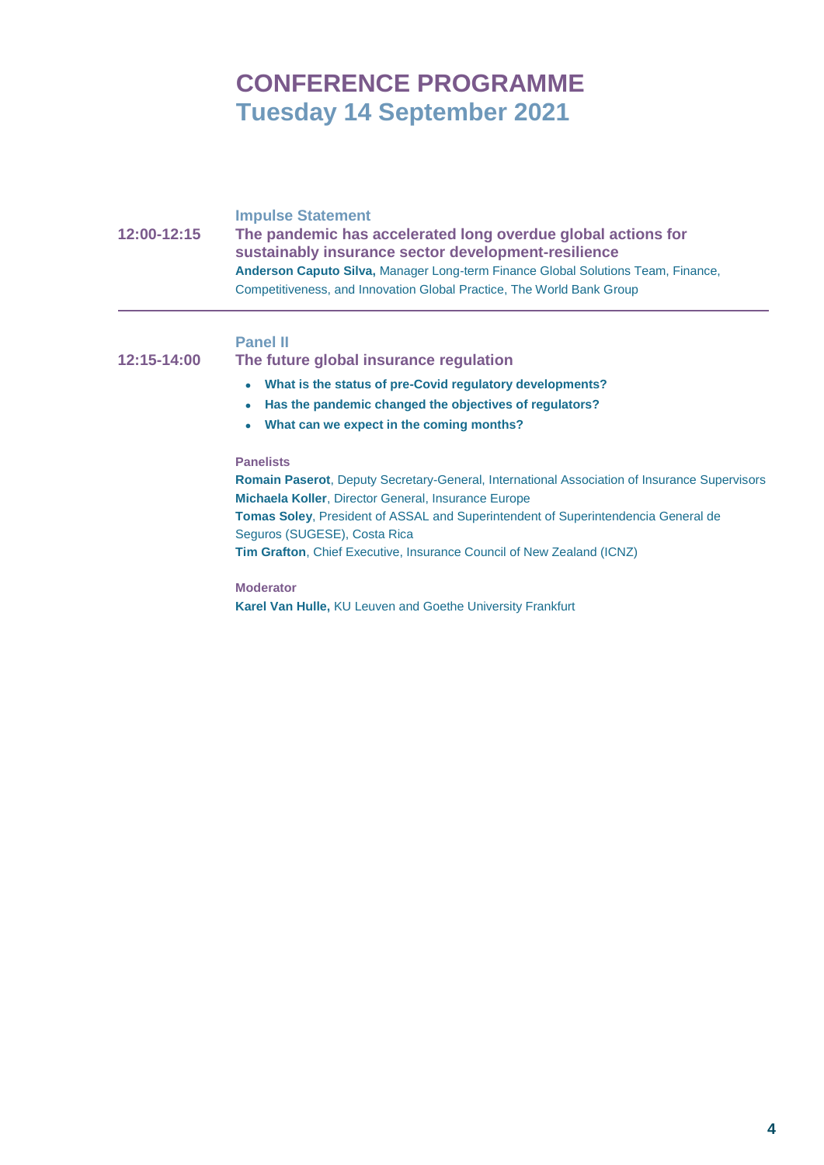# **CONFERENCE PROGRAMME Tuesday 14 September 2021**

**Impulse Statement 12:00-12:15 The pandemic has accelerated long overdue global actions for sustainably insurance sector development-resilience Anderson Caputo Silva,** Manager Long-term Finance Global Solutions Team, Finance, Competitiveness, and Innovation Global Practice, The World Bank Group

#### **Panel II**

**12:15-14:00 The future global insurance regulation**

- **What is the status of pre-Covid regulatory developments?**
- **Has the pandemic changed the objectives of regulators?**
- **What can we expect in the coming months?**

#### **Panelists**

**Romain Paserot**, Deputy Secretary-General, International Association of Insurance Supervisors **Michaela Koller**, Director General, Insurance Europe **Tomas Soley**, President of ASSAL and Superintendent of Superintendencia General de Seguros (SUGESE), Costa Rica **Tim Grafton**, Chief Executive, Insurance Council of New Zealand (ICNZ)

**Moderator Karel Van Hulle,** KU Leuven and Goethe University Frankfurt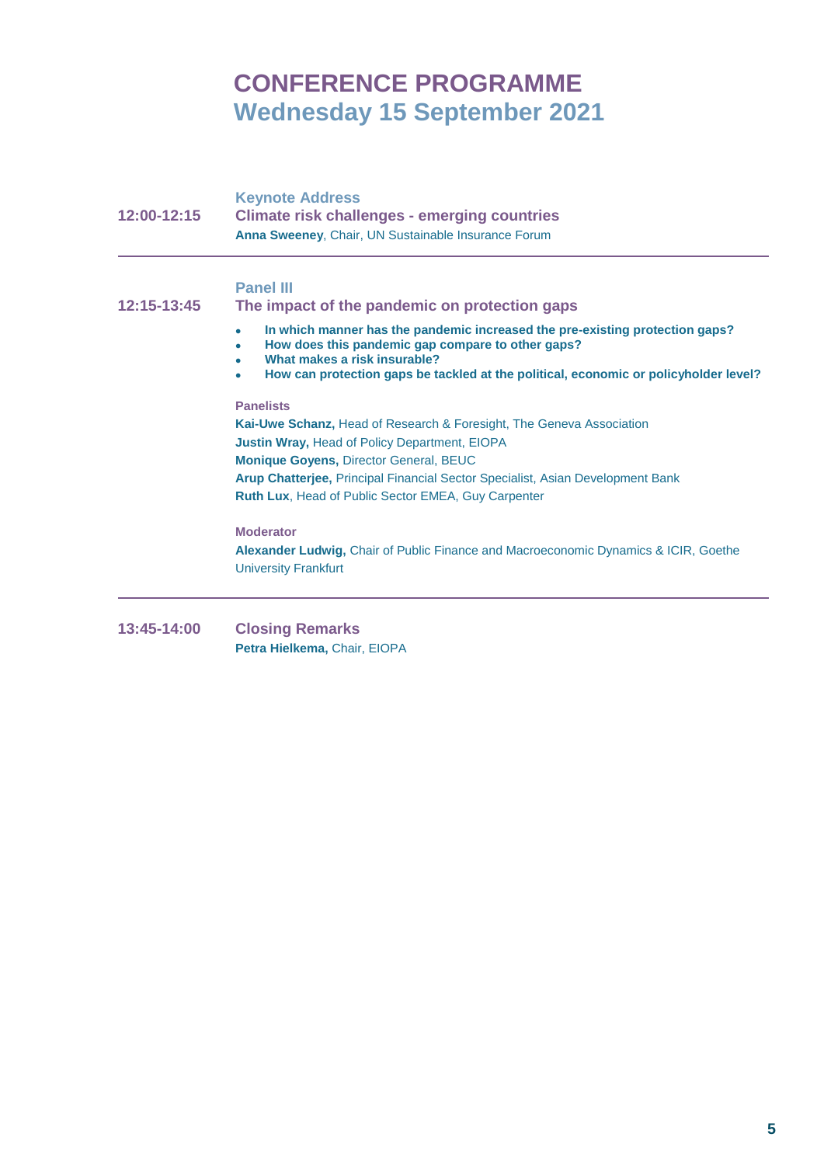# **CONFERENCE PROGRAMME Wednesday 15 September 2021**

| 12:00-12:15 | <b>Keynote Address</b><br><b>Climate risk challenges - emerging countries</b><br>Anna Sweeney, Chair, UN Sustainable Insurance Forum                                                                                                                                                                                                              |
|-------------|---------------------------------------------------------------------------------------------------------------------------------------------------------------------------------------------------------------------------------------------------------------------------------------------------------------------------------------------------|
| 12:15-13:45 | <b>Panel III</b><br>The impact of the pandemic on protection gaps                                                                                                                                                                                                                                                                                 |
|             | In which manner has the pandemic increased the pre-existing protection gaps?<br>$\bullet$<br>How does this pandemic gap compare to other gaps?<br>What makes a risk insurable?<br>How can protection gaps be tackled at the political, economic or policyholder level?                                                                            |
|             | <b>Panelists</b><br>Kai-Uwe Schanz, Head of Research & Foresight, The Geneva Association<br><b>Justin Wray, Head of Policy Department, EIOPA</b><br><b>Monique Goyens, Director General, BEUC</b><br>Arup Chatterjee, Principal Financial Sector Specialist, Asian Development Bank<br><b>Ruth Lux, Head of Public Sector EMEA, Guy Carpenter</b> |
|             | <b>Moderator</b><br>Alexander Ludwig, Chair of Public Finance and Macroeconomic Dynamics & ICIR, Goethe<br><b>University Frankfurt</b>                                                                                                                                                                                                            |

**13:45-14:00 Closing Remarks Petra Hielkema,** Chair, EIOPA